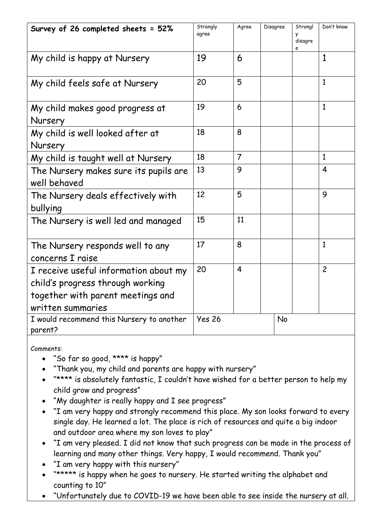| Survey of 26 completed sheets = 52%                                                                                                 | Strongly<br>agree | Agree          | Disagree  | Strongl<br>y<br>disagre | Don't know     |
|-------------------------------------------------------------------------------------------------------------------------------------|-------------------|----------------|-----------|-------------------------|----------------|
| My child is happy at Nursery                                                                                                        | 19                | 6              |           |                         | 1              |
| My child feels safe at Nursery                                                                                                      | 20                | 5              |           |                         | $\mathbf{1}$   |
| My child makes good progress at<br>Nursery                                                                                          | 19                | 6              |           |                         | $\mathbf{1}$   |
| My child is well looked after at<br>Nursery                                                                                         | 18                | 8              |           |                         |                |
| My child is taught well at Nursery                                                                                                  | 18                | $\overline{7}$ |           |                         | $\mathbf{1}$   |
| The Nursery makes sure its pupils are<br>well behaved                                                                               | 13                | 9              |           |                         | $\overline{4}$ |
| The Nursery deals effectively with<br>bullying                                                                                      | 12                | 5              |           |                         | 9              |
| The Nursery is well led and managed                                                                                                 | 15                | 11             |           |                         |                |
| The Nursery responds well to any<br>concerns I raise                                                                                | 17                | 8              |           |                         | $\mathbf{1}$   |
| I receive useful information about my<br>child's progress through working<br>together with parent meetings and<br>written summaries | 20                | $\overline{4}$ |           |                         | $\overline{c}$ |
| I would recommend this Nursery to another<br>parent?                                                                                | <b>Yes 26</b>     |                | <b>No</b> |                         |                |

Comments:

- "So far so good, \*\*\*\* is happy"
- "Thank you, my child and parents are happy with nursery"
- \*\*\*\*\* is absolutely fantastic, I couldn't have wished for a better person to help my child grow and progress"
- "My daughter is really happy and I see progress"
- "I am very happy and strongly recommend this place. My son looks forward to every single day. He learned a lot. The place is rich of resources and quite a big indoor and outdoor area where my son loves to play"
- "I am very pleased. I did not know that such progress can be made in the process of learning and many other things. Very happy, I would recommend. Thank you"
- "I am very happy with this nursery"
- \*\*\*\*\*\* is happy when he goes to nursery. He started writing the alphabet and counting to 10"
- "Unfortunately due to COVID-19 we have been able to see inside the nursery at all.